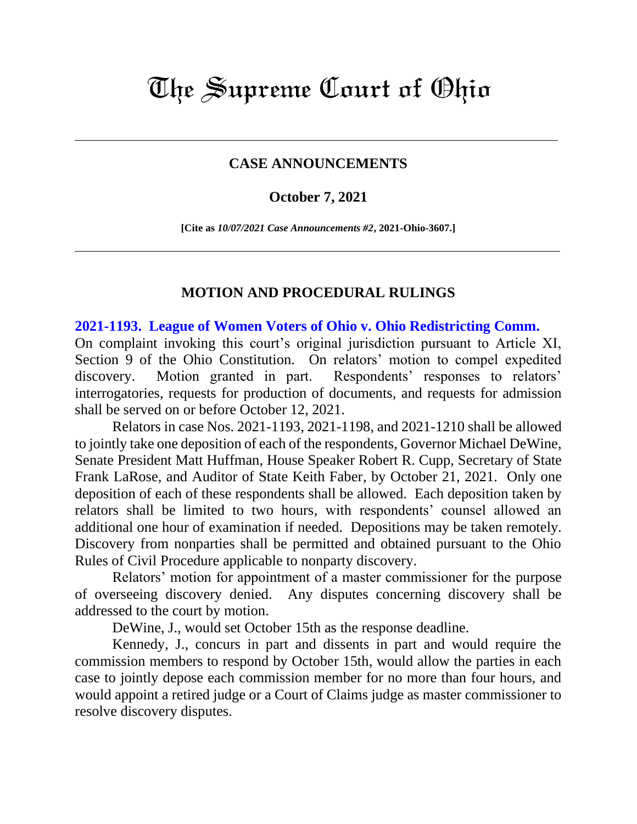# The Supreme Court of Ohio

### **CASE ANNOUNCEMENTS**

#### **October 7, 2021**

**[Cite as** *10/07/2021 Case Announcements #2***, 2021-Ohio-3607.]**

#### **MOTION AND PROCEDURAL RULINGS**

**[2021-1193. League of Women Voters of Ohio v. Ohio Redistricting Comm.](https://www.supremecourt.ohio.gov/Clerk/ecms/#/caseinfo/2021/1193)**

On complaint invoking this court's original jurisdiction pursuant to Article XI, Section 9 of the Ohio Constitution. On relators' motion to compel expedited discovery. Motion granted in part. Respondents' responses to relators' interrogatories, requests for production of documents, and requests for admission shall be served on or before October 12, 2021.

Relators in case Nos. 2021-1193, 2021-1198, and 2021-1210 shall be allowed to jointly take one deposition of each of the respondents, Governor Michael DeWine, Senate President Matt Huffman, House Speaker Robert R. Cupp, Secretary of State Frank LaRose, and Auditor of State Keith Faber, by October 21, 2021. Only one deposition of each of these respondents shall be allowed. Each deposition taken by relators shall be limited to two hours, with respondents' counsel allowed an additional one hour of examination if needed. Depositions may be taken remotely. Discovery from nonparties shall be permitted and obtained pursuant to the Ohio Rules of Civil Procedure applicable to nonparty discovery.

Relators' motion for appointment of a master commissioner for the purpose of overseeing discovery denied. Any disputes concerning discovery shall be addressed to the court by motion.

DeWine, J., would set October 15th as the response deadline.

Kennedy, J., concurs in part and dissents in part and would require the commission members to respond by October 15th, would allow the parties in each case to jointly depose each commission member for no more than four hours, and would appoint a retired judge or a Court of Claims judge as master commissioner to resolve discovery disputes.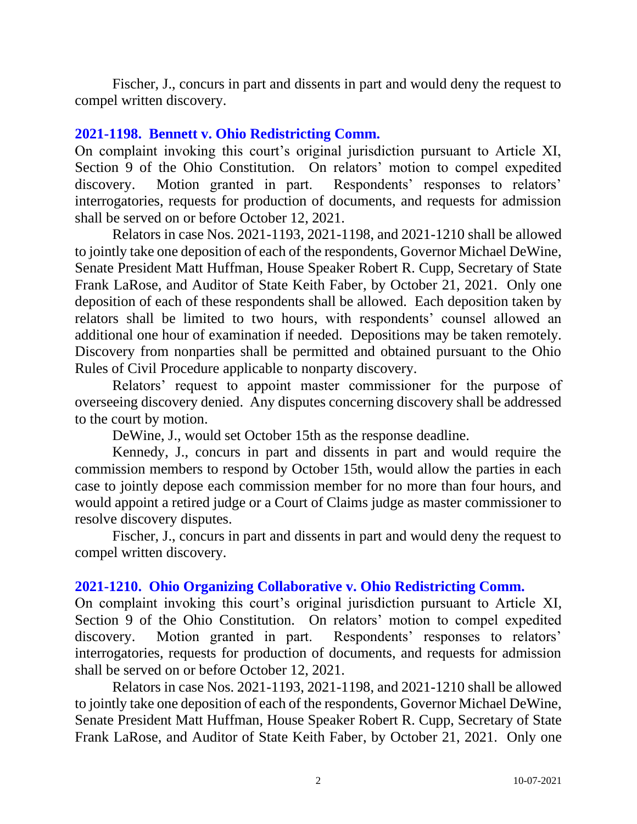Fischer, J., concurs in part and dissents in part and would deny the request to compel written discovery.

## **[2021-1198. Bennett v. Ohio Redistricting Comm.](https://www.supremecourt.ohio.gov/Clerk/ecms/#/caseinfo/2021/1198)**

On complaint invoking this court's original jurisdiction pursuant to Article XI, Section 9 of the Ohio Constitution. On relators' motion to compel expedited discovery. Motion granted in part. Respondents' responses to relators' interrogatories, requests for production of documents, and requests for admission shall be served on or before October 12, 2021.

Relators in case Nos. 2021-1193, 2021-1198, and 2021-1210 shall be allowed to jointly take one deposition of each of the respondents, Governor Michael DeWine, Senate President Matt Huffman, House Speaker Robert R. Cupp, Secretary of State Frank LaRose, and Auditor of State Keith Faber, by October 21, 2021. Only one deposition of each of these respondents shall be allowed. Each deposition taken by relators shall be limited to two hours, with respondents' counsel allowed an additional one hour of examination if needed. Depositions may be taken remotely. Discovery from nonparties shall be permitted and obtained pursuant to the Ohio Rules of Civil Procedure applicable to nonparty discovery.

Relators' request to appoint master commissioner for the purpose of overseeing discovery denied. Any disputes concerning discovery shall be addressed to the court by motion.

DeWine, J., would set October 15th as the response deadline.

Kennedy, J., concurs in part and dissents in part and would require the commission members to respond by October 15th, would allow the parties in each case to jointly depose each commission member for no more than four hours, and would appoint a retired judge or a Court of Claims judge as master commissioner to resolve discovery disputes.

Fischer, J., concurs in part and dissents in part and would deny the request to compel written discovery.

## **[2021-1210. Ohio Organizing Collaborative v. Ohio Redistricting Comm.](https://www.supremecourt.ohio.gov/Clerk/ecms/#/caseinfo/2021/1210)**

On complaint invoking this court's original jurisdiction pursuant to Article XI, Section 9 of the Ohio Constitution. On relators' motion to compel expedited discovery. Motion granted in part. Respondents' responses to relators' interrogatories, requests for production of documents, and requests for admission shall be served on or before October 12, 2021.

Relators in case Nos. 2021-1193, 2021-1198, and 2021-1210 shall be allowed to jointly take one deposition of each of the respondents, Governor Michael DeWine, Senate President Matt Huffman, House Speaker Robert R. Cupp, Secretary of State Frank LaRose, and Auditor of State Keith Faber, by October 21, 2021. Only one